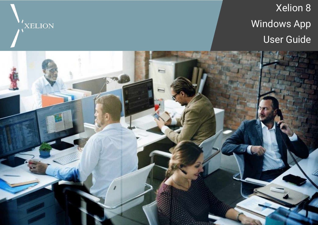

# Xelion 8 Windows App User Guide

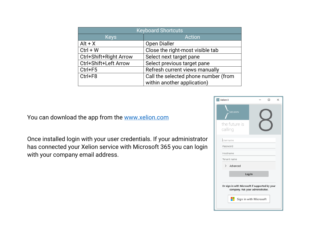| <b>Keyboard Shortcuts</b> |                                      |
|---------------------------|--------------------------------------|
| <b>Keys</b>               | <b>Action</b>                        |
| $Alt + X$                 | <b>Open Dialler</b>                  |
| $Ctrl + W$                | Close the right-most visible tab     |
| Ctrl+Shift+Right Arrow    | Select next target pane              |
| Ctrl+Shift+Left Arrow     | Select previous target pane          |
| $Ctrl + F5$               | Refresh current views manually       |
| $Ctrl + F8$               | Call the selected phone number (from |
|                           | within another application)          |

You can download the app from the [www.xelion.com](http://www.xelion.com/)

Once installed login with your user credentials. If your administrator has connected your Xelion service with Microsoft 365 you can login with your company email address.

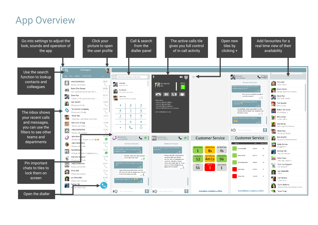## App Overview

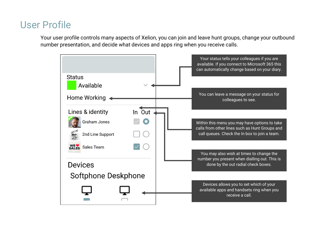#### User Profile

Your user profile controls many aspects of Xelion, you can join and leave hunt groups, change your outbound number presentation, and decide what devices and apps ring when you receive calls.

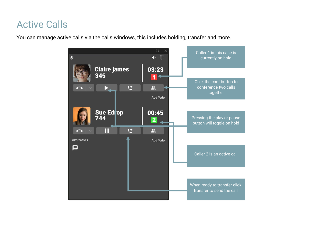## Active Calls

You can manage active calls via the calls windows, this includes holding, transfer and more.